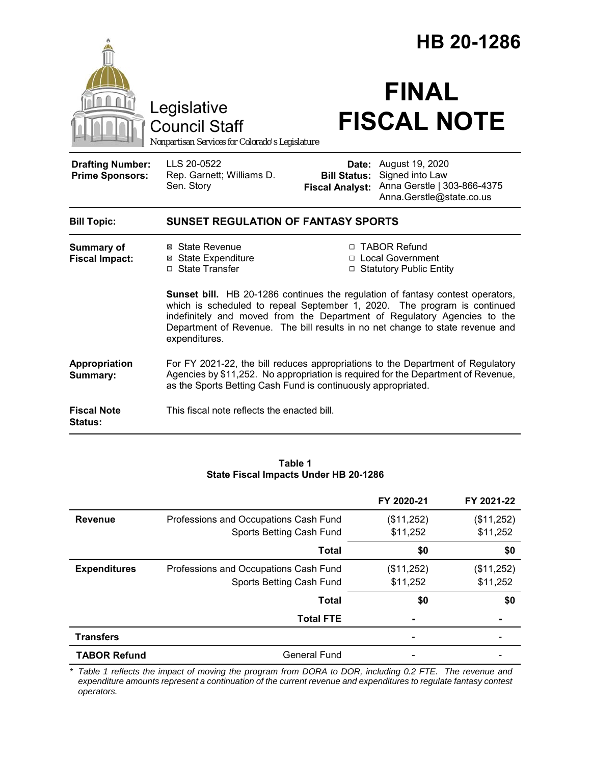|                                                   |                                                                                                                                                                                                                                                                                                                                                 | HB 20-1286                                                        |                                                                                                            |  |
|---------------------------------------------------|-------------------------------------------------------------------------------------------------------------------------------------------------------------------------------------------------------------------------------------------------------------------------------------------------------------------------------------------------|-------------------------------------------------------------------|------------------------------------------------------------------------------------------------------------|--|
|                                                   | Legislative<br><b>Council Staff</b><br>Nonpartisan Services for Colorado's Legislature                                                                                                                                                                                                                                                          |                                                                   | <b>FINAL</b><br><b>FISCAL NOTE</b>                                                                         |  |
| <b>Drafting Number:</b><br><b>Prime Sponsors:</b> | LLS 20-0522<br>Rep. Garnett; Williams D.<br>Sen. Story                                                                                                                                                                                                                                                                                          | <b>Bill Status:</b><br><b>Fiscal Analyst:</b>                     | <b>Date:</b> August 19, 2020<br>Signed into Law<br>Anna Gerstle   303-866-4375<br>Anna.Gerstle@state.co.us |  |
| <b>Bill Topic:</b>                                | <b>SUNSET REGULATION OF FANTASY SPORTS</b>                                                                                                                                                                                                                                                                                                      |                                                                   |                                                                                                            |  |
| <b>Summary of</b><br><b>Fiscal Impact:</b>        | ⊠ State Revenue<br><b>⊠</b> State Expenditure<br>□ State Transfer                                                                                                                                                                                                                                                                               | □ TABOR Refund<br>□ Local Government<br>□ Statutory Public Entity |                                                                                                            |  |
|                                                   | <b>Sunset bill.</b> HB 20-1286 continues the regulation of fantasy contest operators,<br>which is scheduled to repeal September 1, 2020. The program is continued<br>indefinitely and moved from the Department of Regulatory Agencies to the<br>Department of Revenue. The bill results in no net change to state revenue and<br>expenditures. |                                                                   |                                                                                                            |  |
| Appropriation<br>Summary:                         | For FY 2021-22, the bill reduces appropriations to the Department of Regulatory<br>Agencies by \$11,252. No appropriation is required for the Department of Revenue,<br>as the Sports Betting Cash Fund is continuously appropriated.                                                                                                           |                                                                   |                                                                                                            |  |
| <b>Fiscal Note</b><br>Status:                     | This fiscal note reflects the enacted bill.                                                                                                                                                                                                                                                                                                     |                                                                   |                                                                                                            |  |

#### **Table 1 State Fiscal Impacts Under HB 20-1286**

|                     |                                       | FY 2020-21 | FY 2021-22 |
|---------------------|---------------------------------------|------------|------------|
| <b>Revenue</b>      | Professions and Occupations Cash Fund | (\$11,252) | (\$11,252) |
|                     | Sports Betting Cash Fund              | \$11,252   | \$11,252   |
|                     | Total                                 | \$0        | \$0        |
| <b>Expenditures</b> | Professions and Occupations Cash Fund | (\$11,252) | (\$11,252) |
|                     | Sports Betting Cash Fund              | \$11,252   | \$11,252   |
|                     | <b>Total</b>                          | \$0        | \$0        |
|                     | <b>Total FTE</b>                      |            |            |
| <b>Transfers</b>    |                                       |            |            |
| <b>TABOR Refund</b> | <b>General Fund</b>                   |            |            |

*\* Table 1 reflects the impact of moving the program from DORA to DOR, including 0.2 FTE. The revenue and expenditure amounts represent a continuation of the current revenue and expenditures to regulate fantasy contest operators.*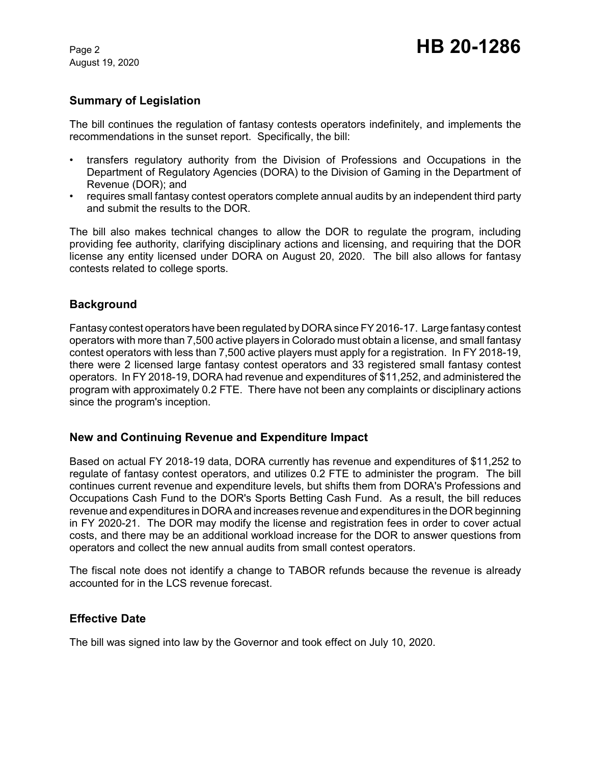August 19, 2020

# **Summary of Legislation**

The bill continues the regulation of fantasy contests operators indefinitely, and implements the recommendations in the sunset report. Specifically, the bill:

- transfers regulatory authority from the Division of Professions and Occupations in the Department of Regulatory Agencies (DORA) to the Division of Gaming in the Department of Revenue (DOR); and
- requires small fantasy contest operators complete annual audits by an independent third party and submit the results to the DOR.

The bill also makes technical changes to allow the DOR to regulate the program, including providing fee authority, clarifying disciplinary actions and licensing, and requiring that the DOR license any entity licensed under DORA on August 20, 2020. The bill also allows for fantasy contests related to college sports.

### **Background**

Fantasy contest operators have been regulated by DORA since FY 2016-17. Large fantasy contest operators with more than 7,500 active players in Colorado must obtain a license, and small fantasy contest operators with less than 7,500 active players must apply for a registration. In FY 2018-19, there were 2 licensed large fantasy contest operators and 33 registered small fantasy contest operators. In FY 2018-19, DORA had revenue and expenditures of \$11,252, and administered the program with approximately 0.2 FTE. There have not been any complaints or disciplinary actions since the program's inception.

### **New and Continuing Revenue and Expenditure Impact**

Based on actual FY 2018-19 data, DORA currently has revenue and expenditures of \$11,252 to regulate of fantasy contest operators, and utilizes 0.2 FTE to administer the program. The bill continues current revenue and expenditure levels, but shifts them from DORA's Professions and Occupations Cash Fund to the DOR's Sports Betting Cash Fund. As a result, the bill reduces revenue and expenditures in DORA and increases revenue and expenditures in the DOR beginning in FY 2020-21. The DOR may modify the license and registration fees in order to cover actual costs, and there may be an additional workload increase for the DOR to answer questions from operators and collect the new annual audits from small contest operators.

The fiscal note does not identify a change to TABOR refunds because the revenue is already accounted for in the LCS revenue forecast.

### **Effective Date**

The bill was signed into law by the Governor and took effect on July 10, 2020.